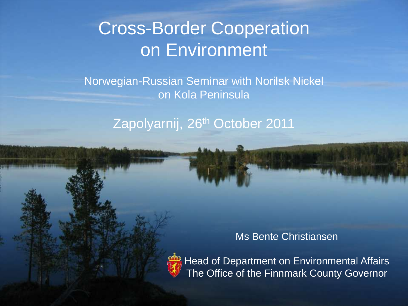### Cross-Border Cooperation on Environment

Norwegian-Russian Seminar with Norilsk Nickel on Kola Peninsula

Zapolyarnij, 26th October 2011

Ms Bente Christiansen



Head of Department on Environmental Affairs The Office of the Finnmark County Governor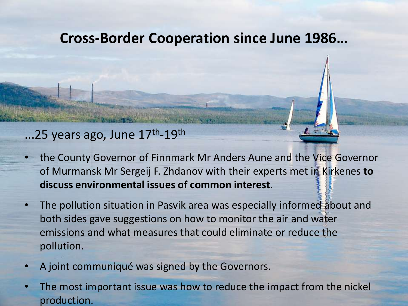#### **Cross-Border Cooperation since June 1986…**

#### ...25 years ago, June 17<sup>th</sup>-19<sup>th</sup>

- the County Governor of Finnmark Mr Anders Aune and the Vice Governor of Murmansk Mr Sergeij F. Zhdanov with their experts met in Kirkenes **to discuss environmental issues of common interest**.
- The pollution situation in Pasvik area was especially informed about and both sides gave suggestions on how to monitor the air and water emissions and what measures that could eliminate or reduce the pollution.
- A joint communiqué was signed by the Governors.
- The most important issue was how to reduce the impact from the nickel production.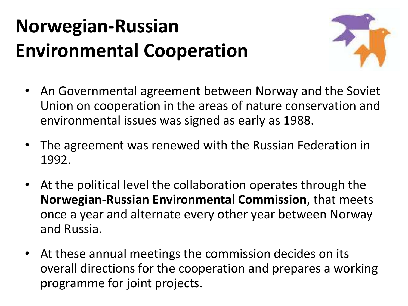### **Norwegian-Russian Environmental Cooperation**



- An Governmental agreement between Norway and the Soviet Union on cooperation in the areas of nature conservation and environmental issues was signed as early as 1988.
- The agreement was renewed with the Russian Federation in 1992.
- At the political level the collaboration operates through the **Norwegian-Russian Environmental Commission**, that meets once a year and alternate every other year between Norway and Russia.
- At these annual meetings the commission decides on its overall directions for the cooperation and prepares a working programme for joint projects.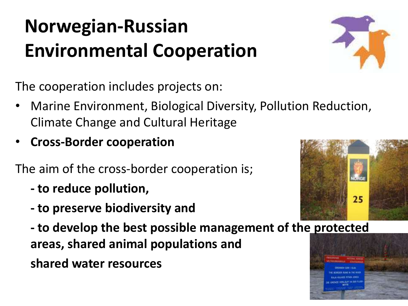## **Norwegian-Russian Environmental Cooperation**



The cooperation includes projects on:

- Marine Environment, Biological Diversity, Pollution Reduction, Climate Change and Cultural Heritage
- **Cross-Border cooperation**

The aim of the cross-border cooperation is;

- **- to reduce pollution,**
- **- to preserve biodiversity and**

**- to develop the best possible management of the protected areas, shared animal populations and** 

 **shared water resources**



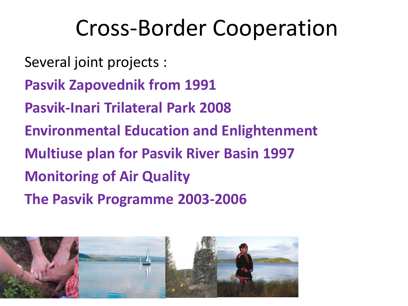## Cross-Border Cooperation

Several joint projects :

**Pasvik Zapovednik from 1991**

**Pasvik-Inari Trilateral Park 2008**

**Environmental Education and Enlightenment**

**Multiuse plan for Pasvik River Basin 1997**

**Monitoring of Air Quality**

**The Pasvik Programme 2003-2006**

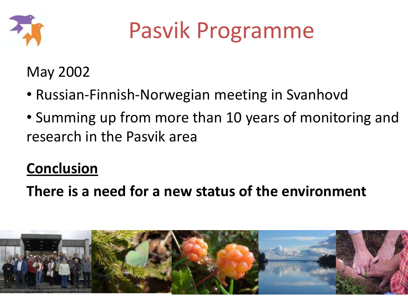

May 2002

- Russian-Finnish-Norwegian meeting in Svanhovd
- Summing up from more than 10 years of monitoring and research in the Pasvik area

### **Conclusion**

**There is a need for a new status of the environment**

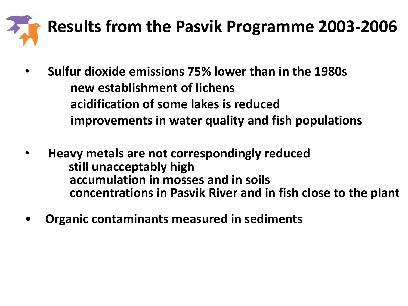

- **Sulfur dioxide emissions 75% lower than in the 1980s new establishment of lichens acidification of some lakes is reduced improvements in water quality and fish populations**
- • **Heavy metals are not correspondingly reduced still unacceptably high accumulation in mosses and in soils concentrations in Pasvik River and in fish close to the plant**
- **Organic contaminants measured in sediments**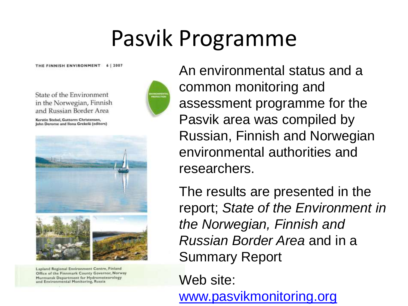THE FINNISH ENVIRONMENT 6 | 2007



Lapland Regional Environment Centre, Finland Office of the Finnmark County Governor, Norway Murmansk Department for Hydrometeorology and Environmental Monitoring, Russia



An environmental status and a common monitoring and assessment programme for the Pasvik area was compiled by Russian, Finnish and Norwegian environmental authorities and researchers.

The results are presented in the report; *State of the Environment in the Norwegian, Finnish and Russian Border Area* and in a Summary Report

Web site:

[www.pasvikmonitoring.org](http://www.pasvikmonitoring.org/)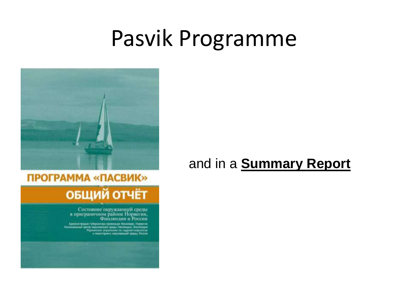

### ПРОГРАММА «ПАСВИК»

# ОБЩИЙ ОТЧЁТ

Состояние окружающей среды<br>в приграничном районе Норвегии, Финляндин и России

иливидать провологии простории боловодии система.<br>В провологии система с представляется проделения большинстве.<br>В простории система провологии система проделения система.<br>В политеранту перевысования больши большины.

#### and in a **Summary Report**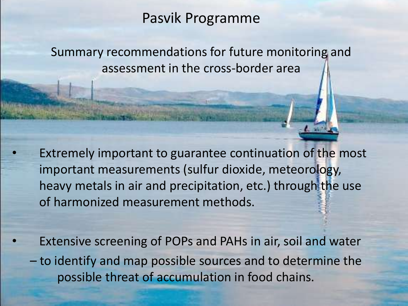Summary recommendations for future monitoring and assessment in the cross-border area

Extremely important to guarantee continuation of the most important measurements (sulfur dioxide, meteorology, heavy metals in air and precipitation, etc.) through the use of harmonized measurement methods.

Extensive screening of POPs and PAHs in air, soil and water

– to identify and map possible sources and to determine the possible threat of accumulation in food chains.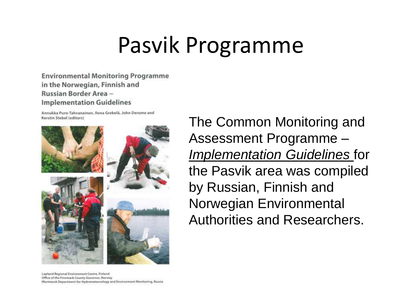**Environmental Monitoring Programme** in the Norwegian, Finnish and Russian Border Area -**Implementation Guidelines** 

Annukka Puro-Tahvanainen, Ilona Grekelä, John Derome and Kerstin Stebel (editors)



The Common Monitoring and Assessment Programme – *Implementation Guidelines* for the Pasvik area was compiled by Russian, Finnish and Norwegian Environmental Authorities and Researchers.

Lapland Regional Environment Centre, Finland Office of the Finnmark County Governor, Norway Murmansk Department for Hydrometeorology and Environment Monitoring, Russia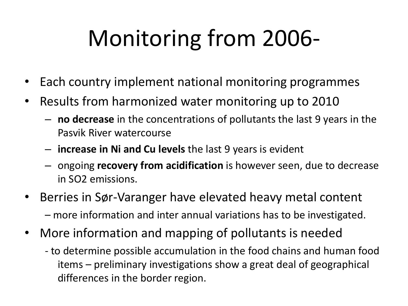# Monitoring from 2006-

- Each country implement national monitoring programmes
- Results from harmonized water monitoring up to 2010
	- **no decrease** in the concentrations of pollutants the last 9 years in the Pasvik River watercourse
	- **increase in Ni and Cu levels** the last 9 years is evident
	- ongoing **recovery from acidification** is however seen, due to decrease in SO2 emissions.
- Berries in Sør-Varanger have elevated heavy metal content – more information and inter annual variations has to be investigated.
- More information and mapping of pollutants is needed
	- to determine possible accumulation in the food chains and human food items – preliminary investigations show a great deal of geographical differences in the border region.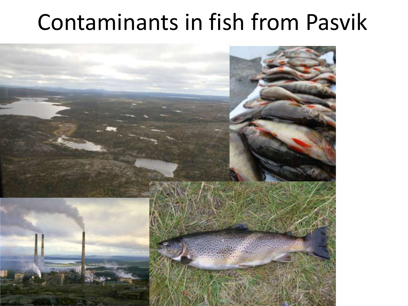## Contaminants in fish from Pasvik

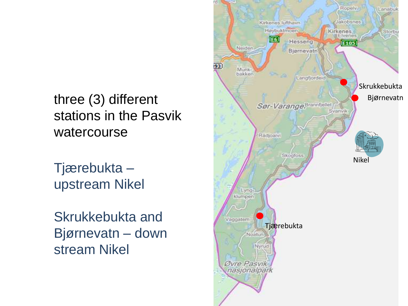three (3) different stations in the Pasvik watercourse

Tjærebukta – upstream Nikel

Skrukkebukta and Bjørnevatn – down stream Nikel

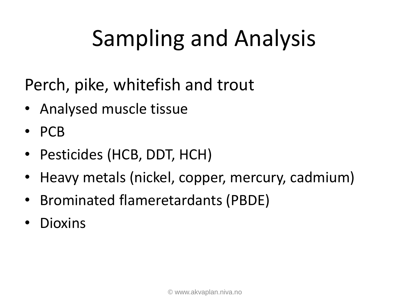# Sampling and Analysis

Perch, pike, whitefish and trout

- Analysed muscle tissue
- PCB
- Pesticides (HCB, DDT, HCH)
- Heavy metals (nickel, copper, mercury, cadmium)
- Brominated flameretardants (PBDE)
- Dioxins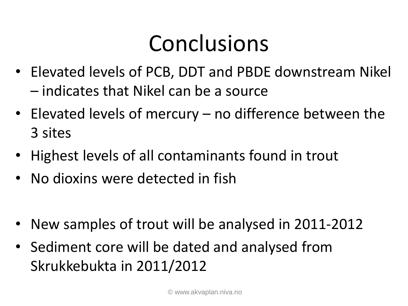# Conclusions

- Elevated levels of PCB, DDT and PBDE downstream Nikel – indicates that Nikel can be a source
- Elevated levels of mercury no difference between the 3 sites
- Highest levels of all contaminants found in trout
- No dioxins were detected in fish
- New samples of trout will be analysed in 2011-2012
- Sediment core will be dated and analysed from Skrukkebukta in 2011/2012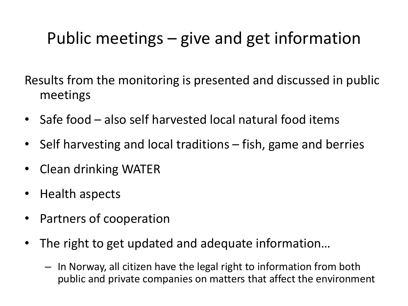### Public meetings – give and get information

Results from the monitoring is presented and discussed in public meetings

- Safe food also self harvested local natural food items
- Self harvesting and local traditions fish, game and berries
- Clean drinking WATER
- Health aspects
- Partners of cooperation
- The right to get updated and adequate information…
	- In Norway, all citizen have the legal right to information from both public and private companies on matters that affect the environment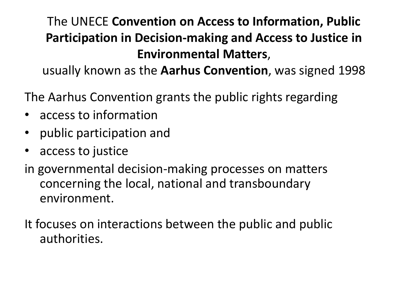#### The UNECE **Convention on Access to Information, Public Participation in Decision-making and Access to Justice in Environmental Matters**,

usually known as the **Aarhus Convention**, was signed 1998

The Aarhus Convention grants the public rights regarding

- access to information
- public participation and
- access to justice
- in governmental decision-making processes on matters concerning the local, national and transboundary environment.

It focuses on interactions between the public and public authorities.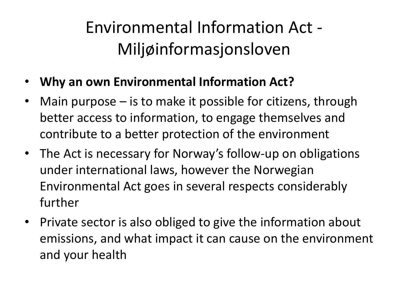### Environmental Information Act - Miljøinformasjonsloven

- **Why an own Environmental Information Act?**
- Main purpose is to make it possible for citizens, through better access to information, to engage themselves and contribute to a better protection of the environment
- The Act is necessary for Norway's follow-up on obligations under international laws, however the Norwegian Environmental Act goes in several respects considerably further
- Private sector is also obliged to give the information about emissions, and what impact it can cause on the environment and your health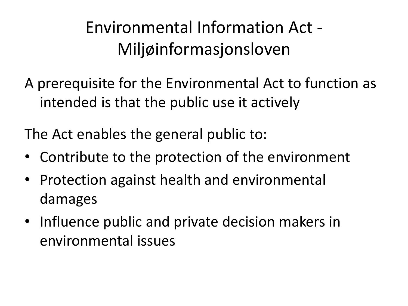Environmental Information Act - Miljøinformasjonsloven

A prerequisite for the Environmental Act to function as intended is that the public use it actively

The Act enables the general public to:

- Contribute to the protection of the environment
- Protection against health and environmental damages
- Influence public and private decision makers in environmental issues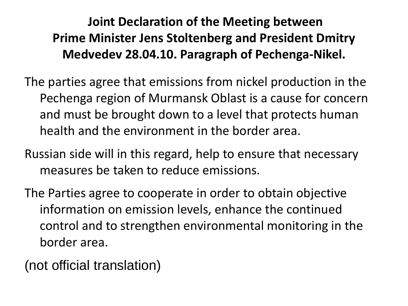#### **Joint Declaration of the Meeting between Prime Minister Jens Stoltenberg and President Dmitry Medvedev 28.04.10. Paragraph of Pechenga-Nikel.**

The parties agree that emissions from nickel production in the Pechenga region of Murmansk Oblast is a cause for concern and must be brought down to a level that protects human health and the environment in the border area.

Russian side will in this regard, help to ensure that necessary measures be taken to reduce emissions.

The Parties agree to cooperate in order to obtain objective information on emission levels, enhance the continued control and to strengthen environmental monitoring in the border area.

(not official translation)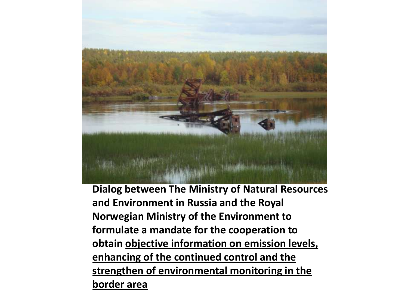

**Dialog between The Ministry of Natural Resources and Environment in Russia and the Royal Norwegian Ministry of the Environment to formulate a mandate for the cooperation to obtain objective information on emission levels, enhancing of the continued control and the strengthen of environmental monitoring in the border area**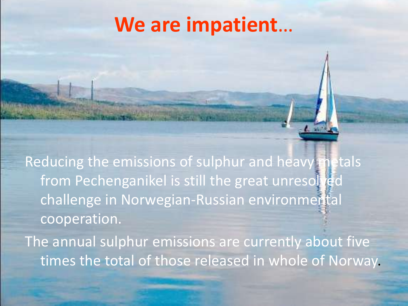### **We are impatient**…

Reducing the emissions of sulphur and heavy metals from Pechenganikel is still the great unresolved challenge in Norwegian-Russian environmental cooperation.

The annual sulphur emissions are currently about five times the total of those released in whole of Norway.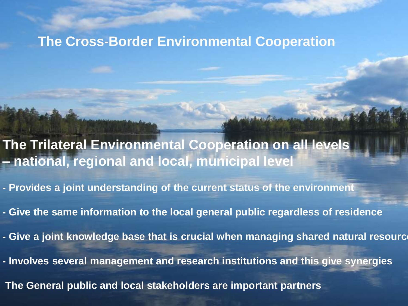#### **The Cross-Border Environmental Cooperation**

- **The Trilateral Environmental Cooperation on all levels – national, regional and local, municipal level**
- **- Provides a joint understanding of the current status of the environment**
- **- Give the same information to the local general public regardless of residence**
- **Give a joint knowledge base that is crucial when managing shared natural resourc**
- **- Involves several management and research institutions and this give synergies**
- **The General public and local stakeholders are important partners**